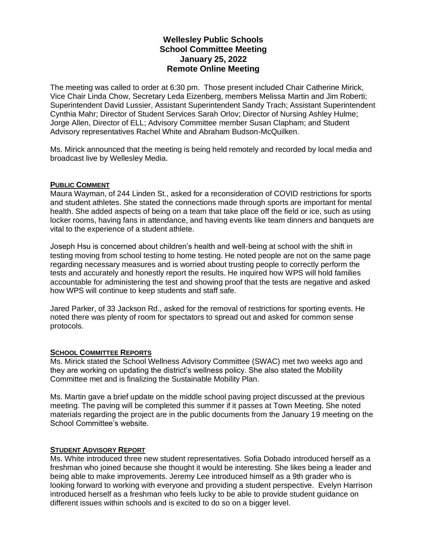# **Wellesley Public Schools School Committee Meeting January 25, 2022 Remote Online Meeting**

The meeting was called to order at 6:30 pm. Those present included Chair Catherine Mirick, Vice Chair Linda Chow, Secretary Leda Eizenberg, members Melissa Martin and Jim Roberti; Superintendent David Lussier, Assistant Superintendent Sandy Trach; Assistant Superintendent Cynthia Mahr; Director of Student Services Sarah Orlov; Director of Nursing Ashley Hulme; Jorge Allen, Director of ELL; Advisory Committee member Susan Clapham; and Student Advisory representatives Rachel White and Abraham Budson-McQuilken.

Ms. Mirick announced that the meeting is being held remotely and recorded by local media and broadcast live by Wellesley Media.

## **PUBLIC COMMENT**

Maura Wayman, of 244 Linden St., asked for a reconsideration of COVID restrictions for sports and student athletes. She stated the connections made through sports are important for mental health. She added aspects of being on a team that take place off the field or ice, such as using locker rooms, having fans in attendance, and having events like team dinners and banquets are vital to the experience of a student athlete.

Joseph Hsu is concerned about children's health and well-being at school with the shift in testing moving from school testing to home testing. He noted people are not on the same page regarding necessary measures and is worried about trusting people to correctly perform the tests and accurately and honestly report the results. He inquired how WPS will hold families accountable for administering the test and showing proof that the tests are negative and asked how WPS will continue to keep students and staff safe.

Jared Parker, of 33 Jackson Rd., asked for the removal of restrictions for sporting events. He noted there was plenty of room for spectators to spread out and asked for common sense protocols.

## **SCHOOL COMMITTEE REPORTS**

Ms. Mirick stated the School Wellness Advisory Committee (SWAC) met two weeks ago and they are working on updating the district's wellness policy. She also stated the Mobility Committee met and is finalizing the Sustainable Mobility Plan.

Ms. Martin gave a brief update on the middle school paving project discussed at the previous meeting. The paving will be completed this summer if it passes at Town Meeting. She noted materials regarding the project are in the public documents from the January 19 meeting on the School Committee's website.

## **STUDENT ADVISORY REPORT**

Ms. White introduced three new student representatives. Sofia Dobado introduced herself as a freshman who joined because she thought it would be interesting. She likes being a leader and being able to make improvements. Jeremy Lee introduced himself as a 9th grader who is looking forward to working with everyone and providing a student perspective. Evelyn Harrison introduced herself as a freshman who feels lucky to be able to provide student guidance on different issues within schools and is excited to do so on a bigger level.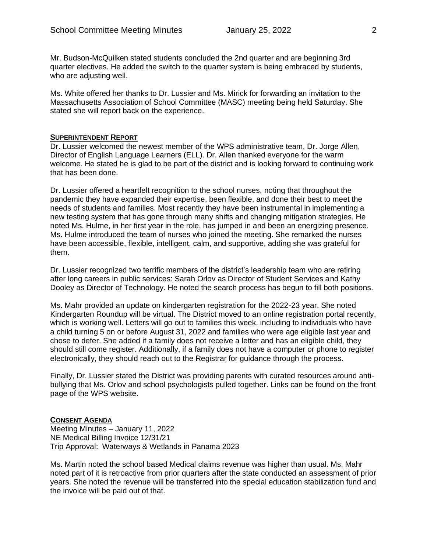Mr. Budson-McQuilken stated students concluded the 2nd quarter and are beginning 3rd quarter electives. He added the switch to the quarter system is being embraced by students, who are adjusting well.

Ms. White offered her thanks to Dr. Lussier and Ms. Mirick for forwarding an invitation to the Massachusetts Association of School Committee (MASC) meeting being held Saturday. She stated she will report back on the experience.

#### **SUPERINTENDENT REPORT**

Dr. Lussier welcomed the newest member of the WPS administrative team, Dr. Jorge Allen, Director of English Language Learners (ELL). Dr. Allen thanked everyone for the warm welcome. He stated he is glad to be part of the district and is looking forward to continuing work that has been done.

Dr. Lussier offered a heartfelt recognition to the school nurses, noting that throughout the pandemic they have expanded their expertise, been flexible, and done their best to meet the needs of students and families. Most recently they have been instrumental in implementing a new testing system that has gone through many shifts and changing mitigation strategies. He noted Ms. Hulme, in her first year in the role, has jumped in and been an energizing presence. Ms. Hulme introduced the team of nurses who joined the meeting. She remarked the nurses have been accessible, flexible, intelligent, calm, and supportive, adding she was grateful for them.

Dr. Lussier recognized two terrific members of the district's leadership team who are retiring after long careers in public services: Sarah Orlov as Director of Student Services and Kathy Dooley as Director of Technology. He noted the search process has begun to fill both positions.

Ms. Mahr provided an update on kindergarten registration for the 2022-23 year. She noted Kindergarten Roundup will be virtual. The District moved to an online registration portal recently, which is working well. Letters will go out to families this week, including to individuals who have a child turning 5 on or before August 31, 2022 and families who were age eligible last year and chose to defer. She added if a family does not receive a letter and has an eligible child, they should still come register. Additionally, if a family does not have a computer or phone to register electronically, they should reach out to the Registrar for guidance through the process.

Finally, Dr. Lussier stated the District was providing parents with curated resources around antibullying that Ms. Orlov and school psychologists pulled together. Links can be found on the front page of the WPS website.

## **CONSENT AGENDA**

Meeting Minutes – January 11, 2022 NE Medical Billing Invoice 12/31/21 Trip Approval: Waterways & Wetlands in Panama 2023

Ms. Martin noted the school based Medical claims revenue was higher than usual. Ms. Mahr noted part of it is retroactive from prior quarters after the state conducted an assessment of prior years. She noted the revenue will be transferred into the special education stabilization fund and the invoice will be paid out of that.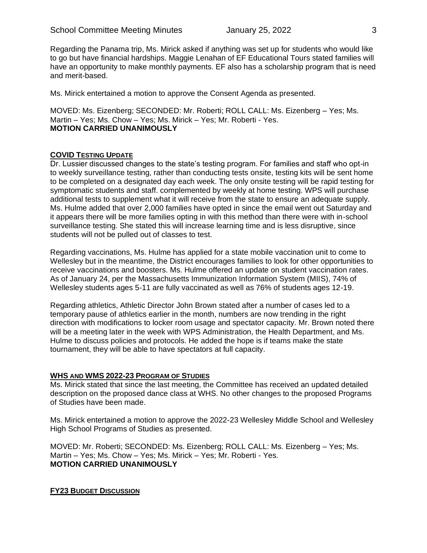Regarding the Panama trip, Ms. Mirick asked if anything was set up for students who would like to go but have financial hardships. Maggie Lenahan of EF Educational Tours stated families will have an opportunity to make monthly payments. EF also has a scholarship program that is need and merit-based.

Ms. Mirick entertained a motion to approve the Consent Agenda as presented.

MOVED: Ms. Eizenberg; SECONDED: Mr. Roberti; ROLL CALL: Ms. Eizenberg – Yes; Ms. Martin – Yes; Ms. Chow – Yes; Ms. Mirick – Yes; Mr. Roberti - Yes. **MOTION CARRIED UNANIMOUSLY**

# **COVID TESTING UPDATE**

Dr. Lussier discussed changes to the state's testing program. For families and staff who opt-in to weekly surveillance testing, rather than conducting tests onsite, testing kits will be sent home to be completed on a designated day each week. The only onsite testing will be rapid testing for symptomatic students and staff. complemented by weekly at home testing. WPS will purchase additional tests to supplement what it will receive from the state to ensure an adequate supply. Ms. Hulme added that over 2,000 families have opted in since the email went out Saturday and it appears there will be more families opting in with this method than there were with in-school surveillance testing. She stated this will increase learning time and is less disruptive, since students will not be pulled out of classes to test.

Regarding vaccinations, Ms. Hulme has applied for a state mobile vaccination unit to come to Wellesley but in the meantime, the District encourages families to look for other opportunities to receive vaccinations and boosters. Ms. Hulme offered an update on student vaccination rates. As of January 24, per the Massachusetts Immunization Information System (MIIS), 74% of Wellesley students ages 5-11 are fully vaccinated as well as 76% of students ages 12-19.

Regarding athletics, Athletic Director John Brown stated after a number of cases led to a temporary pause of athletics earlier in the month, numbers are now trending in the right direction with modifications to locker room usage and spectator capacity. Mr. Brown noted there will be a meeting later in the week with WPS Administration, the Health Department, and Ms. Hulme to discuss policies and protocols. He added the hope is if teams make the state tournament, they will be able to have spectators at full capacity.

#### **WHS AND WMS 2022-23 PROGRAM OF STUDIES**

Ms. Mirick stated that since the last meeting, the Committee has received an updated detailed description on the proposed dance class at WHS. No other changes to the proposed Programs of Studies have been made.

Ms. Mirick entertained a motion to approve the 2022-23 Wellesley Middle School and Wellesley High School Programs of Studies as presented.

MOVED: Mr. Roberti; SECONDED: Ms. Eizenberg; ROLL CALL: Ms. Eizenberg – Yes; Ms. Martin – Yes; Ms. Chow – Yes; Ms. Mirick – Yes; Mr. Roberti - Yes. **MOTION CARRIED UNANIMOUSLY**

**FY23 BUDGET DISCUSSION**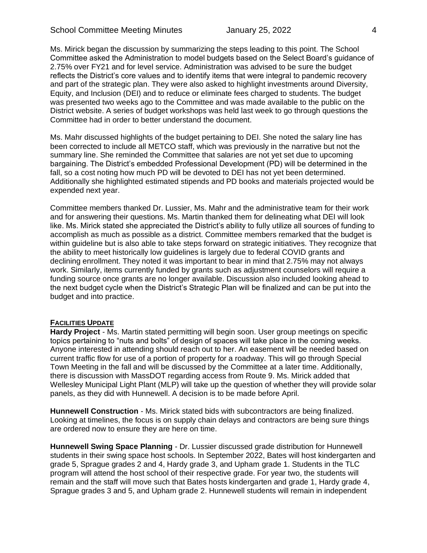Ms. Mirick began the discussion by summarizing the steps leading to this point. The School Committee asked the Administration to model budgets based on the Select Board's guidance of 2.75% over FY21 and for level service. Administration was advised to be sure the budget reflects the District's core values and to identify items that were integral to pandemic recovery and part of the strategic plan. They were also asked to highlight investments around Diversity, Equity, and Inclusion (DEI) and to reduce or eliminate fees charged to students. The budget was presented two weeks ago to the Committee and was made available to the public on the District website. A series of budget workshops was held last week to go through questions the Committee had in order to better understand the document.

Ms. Mahr discussed highlights of the budget pertaining to DEI. She noted the salary line has been corrected to include all METCO staff, which was previously in the narrative but not the summary line. She reminded the Committee that salaries are not yet set due to upcoming bargaining. The District's embedded Professional Development (PD) will be determined in the fall, so a cost noting how much PD will be devoted to DEI has not yet been determined. Additionally she highlighted estimated stipends and PD books and materials projected would be expended next year.

Committee members thanked Dr. Lussier, Ms. Mahr and the administrative team for their work and for answering their questions. Ms. Martin thanked them for delineating what DEI will look like. Ms. Mirick stated she appreciated the District's ability to fully utilize all sources of funding to accomplish as much as possible as a district. Committee members remarked that the budget is within guideline but is also able to take steps forward on strategic initiatives. They recognize that the ability to meet historically low guidelines is largely due to federal COVID grants and declining enrollment. They noted it was important to bear in mind that 2.75% may not always work. Similarly, items currently funded by grants such as adjustment counselors will require a funding source once grants are no longer available. Discussion also included looking ahead to the next budget cycle when the District's Strategic Plan will be finalized and can be put into the budget and into practice.

## **FACILITIES UPDATE**

**Hardy Project** - Ms. Martin stated permitting will begin soon. User group meetings on specific topics pertaining to "nuts and bolts" of design of spaces will take place in the coming weeks. Anyone interested in attending should reach out to her. An easement will be needed based on current traffic flow for use of a portion of property for a roadway. This will go through Special Town Meeting in the fall and will be discussed by the Committee at a later time. Additionally, there is discussion with MassDOT regarding access from Route 9. Ms. Mirick added that Wellesley Municipal Light Plant (MLP) will take up the question of whether they will provide solar panels, as they did with Hunnewell. A decision is to be made before April.

**Hunnewell Construction** - Ms. Mirick stated bids with subcontractors are being finalized. Looking at timelines, the focus is on supply chain delays and contractors are being sure things are ordered now to ensure they are here on time.

**Hunnewell Swing Space Planning** - Dr. Lussier discussed grade distribution for Hunnewell students in their swing space host schools. In September 2022, Bates will host kindergarten and grade 5, Sprague grades 2 and 4, Hardy grade 3, and Upham grade 1. Students in the TLC program will attend the host school of their respective grade. For year two, the students will remain and the staff will move such that Bates hosts kindergarten and grade 1, Hardy grade 4, Sprague grades 3 and 5, and Upham grade 2. Hunnewell students will remain in independent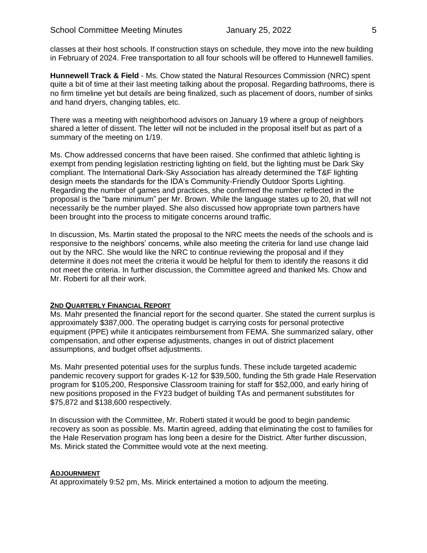classes at their host schools. If construction stays on schedule, they move into the new building in February of 2024. Free transportation to all four schools will be offered to Hunnewell families.

**Hunnewell Track & Field** - Ms. Chow stated the Natural Resources Commission (NRC) spent quite a bit of time at their last meeting talking about the proposal. Regarding bathrooms, there is no firm timeline yet but details are being finalized, such as placement of doors, number of sinks and hand dryers, changing tables, etc.

There was a meeting with neighborhood advisors on January 19 where a group of neighbors shared a letter of dissent. The letter will not be included in the proposal itself but as part of a summary of the meeting on 1/19.

Ms. Chow addressed concerns that have been raised. She confirmed that athletic lighting is exempt from pending legislation restricting lighting on field, but the lighting must be Dark Sky compliant. The International Dark-Sky Association has already determined the T&F lighting design meets the standards for the IDA's Community-Friendly Outdoor Sports Lighting. Regarding the number of games and practices, she confirmed the number reflected in the proposal is the "bare minimum" per Mr. Brown. While the language states up to 20, that will not necessarily be the number played. She also discussed how appropriate town partners have been brought into the process to mitigate concerns around traffic.

In discussion, Ms. Martin stated the proposal to the NRC meets the needs of the schools and is responsive to the neighbors' concerns, while also meeting the criteria for land use change laid out by the NRC. She would like the NRC to continue reviewing the proposal and if they determine it does not meet the criteria it would be helpful for them to identify the reasons it did not meet the criteria. In further discussion, the Committee agreed and thanked Ms. Chow and Mr. Roberti for all their work.

#### **2ND QUARTERLY FINANCIAL REPORT**

Ms. Mahr presented the financial report for the second quarter. She stated the current surplus is approximately \$387,000. The operating budget is carrying costs for personal protective equipment (PPE) while it anticipates reimbursement from FEMA. She summarized salary, other compensation, and other expense adjustments, changes in out of district placement assumptions, and budget offset adjustments.

Ms. Mahr presented potential uses for the surplus funds. These include targeted academic pandemic recovery support for grades K-12 for \$39,500, funding the 5th grade Hale Reservation program for \$105,200, Responsive Classroom training for staff for \$52,000, and early hiring of new positions proposed in the FY23 budget of building TAs and permanent substitutes for \$75,872 and \$138,600 respectively.

In discussion with the Committee, Mr. Roberti stated it would be good to begin pandemic recovery as soon as possible. Ms. Martin agreed, adding that eliminating the cost to families for the Hale Reservation program has long been a desire for the District. After further discussion, Ms. Mirick stated the Committee would vote at the next meeting.

#### **ADJOURNMENT**

At approximately 9:52 pm, Ms. Mirick entertained a motion to adjourn the meeting.